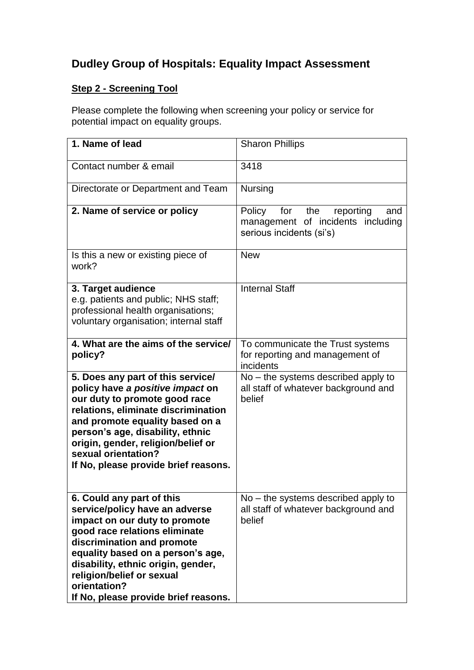# **Dudley Group of Hospitals: Equality Impact Assessment**

## **Step 2 - Screening Tool**

Please complete the following when screening your policy or service for potential impact on equality groups.

| 1. Name of lead                                                                                                                                                                                                                                                                                                             | <b>Sharon Phillips</b>                                                                                    |
|-----------------------------------------------------------------------------------------------------------------------------------------------------------------------------------------------------------------------------------------------------------------------------------------------------------------------------|-----------------------------------------------------------------------------------------------------------|
| Contact number & email                                                                                                                                                                                                                                                                                                      | 3418                                                                                                      |
| Directorate or Department and Team                                                                                                                                                                                                                                                                                          | <b>Nursing</b>                                                                                            |
| 2. Name of service or policy                                                                                                                                                                                                                                                                                                | Policy<br>for<br>the<br>reporting<br>and<br>management of incidents including<br>serious incidents (si's) |
| Is this a new or existing piece of<br>work?                                                                                                                                                                                                                                                                                 | <b>New</b>                                                                                                |
| 3. Target audience<br>e.g. patients and public; NHS staff;<br>professional health organisations;<br>voluntary organisation; internal staff                                                                                                                                                                                  | <b>Internal Staff</b>                                                                                     |
| 4. What are the aims of the service/<br>policy?                                                                                                                                                                                                                                                                             | To communicate the Trust systems<br>for reporting and management of<br>incidents                          |
| 5. Does any part of this service/<br>policy have a positive impact on<br>our duty to promote good race<br>relations, eliminate discrimination<br>and promote equality based on a<br>person's age, disability, ethnic<br>origin, gender, religion/belief or<br>sexual orientation?<br>If No, please provide brief reasons.   | $No$ – the systems described apply to<br>all staff of whatever background and<br>belief                   |
| 6. Could any part of this<br>service/policy have an adverse<br>impact on our duty to promote<br>good race relations eliminate<br>discrimination and promote<br>equality based on a person's age,<br>disability, ethnic origin, gender,<br>religion/belief or sexual<br>orientation?<br>If No, please provide brief reasons. | $No$ – the systems described apply to<br>all staff of whatever background and<br>belief                   |